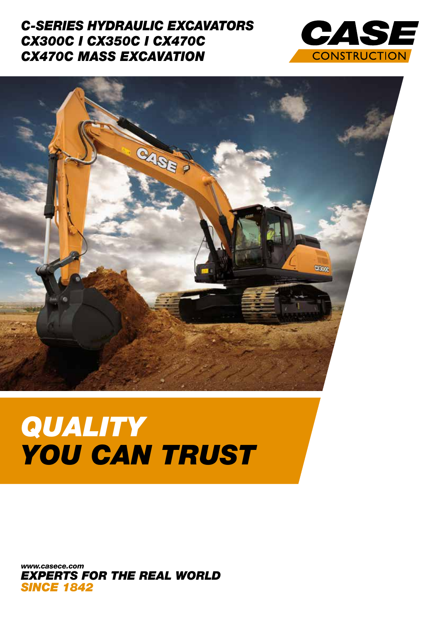### *C-SERIES HYDRAULIC EXCAVATORS CX300C I CX350C I CX470C CX470C MASS EXCAVATION*





# *QUALITY YOU CAN TRUST*

*EXPERTS FOR THE REAL WORLD SINCE 1842 www.casece.com*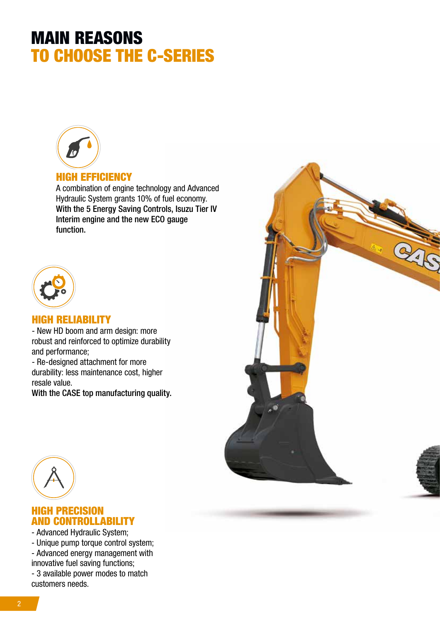# MAIN REASONS TO CHOOSE THE C-SERIES



#### HIGH EFFICIENCY

A combination of engine technology and Advanced Hydraulic System grants 10% of fuel economy. With the 5 Energy Saving Controls, Isuzu Tier IV Interim engine and the new ECO gauge function.



#### HIGH RELIABILITY

- New HD boom and arm design: more robust and reinforced to optimize durability and performance;

- Re-designed attachment for more durability: less maintenance cost, higher resale value.

With the CASE top manufacturing quality.





#### HIGH PRECISION AND CONTROLLABILITY

- Advanced Hydraulic System;

- Unique pump torque control system;
- Advanced energy management with innovative fuel saving functions;

- 3 available power modes to match customers needs.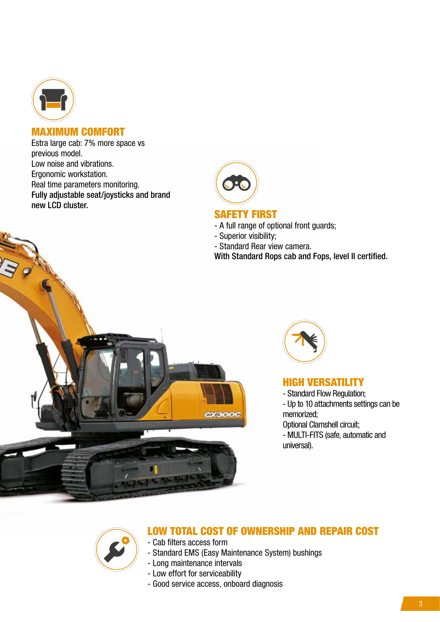

#### MAXIMUM COMFORT

Estra large cab: 7% more space vs previous model. Low noise and vibrations. Ergonomic workstation. Real time parameters monitoring. Fully adjustable seat/joysticks and brand new LCD cluster.



#### SAFETY FIRST

- A full range of optional front guards;
- Superior visibility;
- Standard Rear view camera.

With Standard Rops cab and Fops, level II certified.





#### HIGH VERSATILITY

- Standard Flow Regulation;
- Up to 10 attachments settings can be memorized;
- Optional Clamshell circuit;
- MULTI-FITS (safe, automatic and universal).



#### LOW TOTAL COST OF OWNERSHIP AND REPAIR COST

- Cab filters access form

- Standard EMS (Easy Maintenance System) bushings
- Long maintenance intervals
- Low effort for serviceability
- Good service access, onboard diagnosis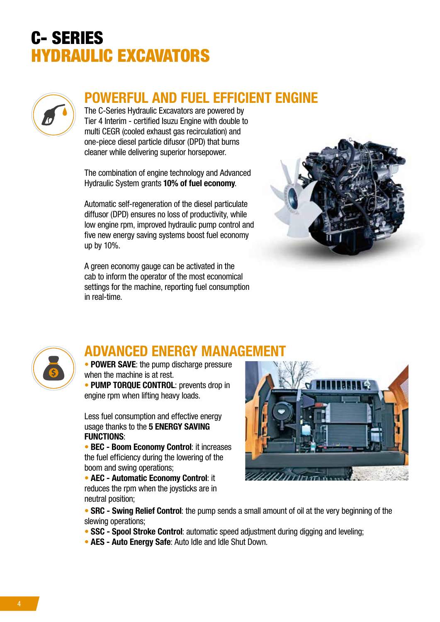

## POWERFUL AND FUEL EFFICIENT ENGINE

The C-Series Hydraulic Excavators are powered by Tier 4 Interim - certified Isuzu Engine with double to multi CEGR (cooled exhaust gas recirculation) and one-piece diesel particle difusor (DPD) that burns cleaner while delivering superior horsepower.

The combination of engine technology and Advanced Hydraulic System grants 10% of fuel economy.

Automatic self-regeneration of the diesel particulate diffusor (DPD) ensures no loss of productivity, while low engine rpm, improved hydraulic pump control and five new energy saving systems boost fuel economy up by 10%.

A green economy gauge can be activated in the cab to inform the operator of the most economical settings for the machine, reporting fuel consumption in real-time.





# ADVANCED ENERGY MANAGEMENT

• POWER SAVE: the pump discharge pressure when the machine is at rest.

• PUMP TORQUE CONTROL: prevents drop in engine rpm when lifting heavy loads.

Less fuel consumption and effective energy usage thanks to the 5 ENERGY SAVING FUNCTIONS:

• BEC - Boom Economy Control: it increases the fuel efficiency during the lowering of the boom and swing operations;

• AEC - Automatic Economy Control: it reduces the rpm when the joysticks are in neutral position;



• SRC - Swing Relief Control: the pump sends a small amount of oil at the very beginning of the slewing operations;

- SSC Spool Stroke Control: automatic speed adjustment during digging and leveling;
- AES Auto Energy Safe: Auto Idle and Idle Shut Down.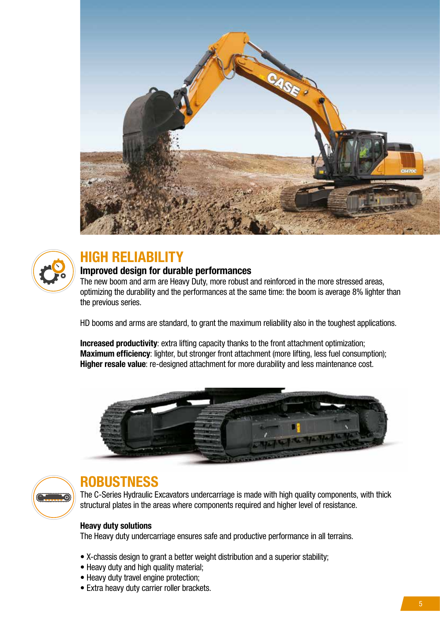



# HIGH RELIABILITY

#### Improved design for durable performances

The new boom and arm are Heavy Duty, more robust and reinforced in the more stressed areas, optimizing the durability and the performances at the same time: the boom is average 8% lighter than the previous series.

HD booms and arms are standard, to grant the maximum reliability also in the toughest applications.

Increased productivity: extra lifting capacity thanks to the front attachment optimization; Maximum efficiency: lighter, but stronger front attachment (more lifting, less fuel consumption); Higher resale value: re-designed attachment for more durability and less maintenance cost.





## **ROBUSTNESS**

The C-Series Hydraulic Excavators undercarriage is made with high quality components, with thick structural plates in the areas where components required and higher level of resistance.

#### Heavy duty solutions

The Heavy duty undercarriage ensures safe and productive performance in all terrains.

- X-chassis design to grant a better weight distribution and a superior stability;
- Heavy duty and high quality material;
- Heavy duty travel engine protection;
- Extra heavy duty carrier roller brackets.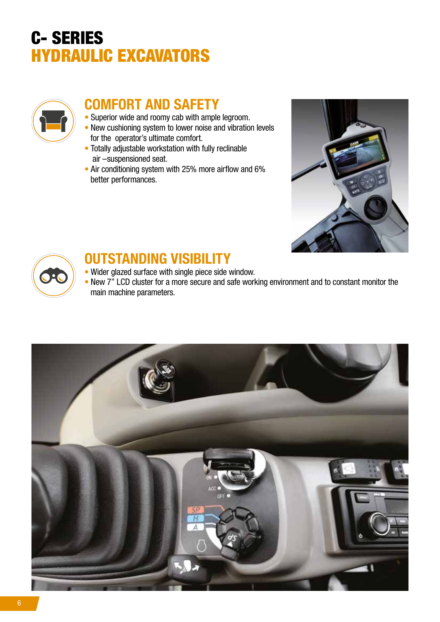

## COMFORT AND SAFETY

- Superior wide and roomy cab with ample legroom.
- New cushioning system to lower noise and vibration levels for the operator's ultimate comfort.
- Totally adjustable workstation with fully reclinable air –suspensioned seat.
- Air conditioning system with 25% more airflow and 6% better performances.





### OUTSTANDING VISIBILITY

- Wider glazed surface with single piece side window.
- New 7" LCD cluster for a more secure and safe working environment and to constant monitor the main machine parameters.

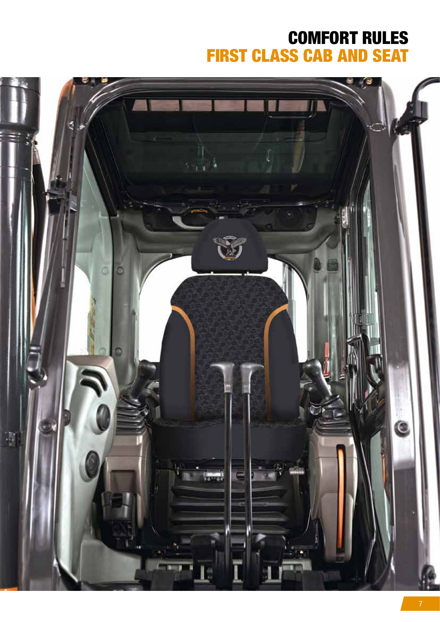# COMFORT RULES FIRST CLASS CAB AND SEAT

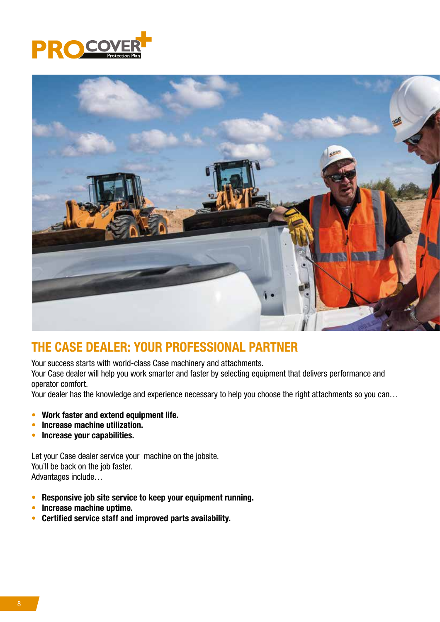



#### THE CASE DEALER: YOUR PROFESSIONAL PARTNER

Your success starts with world-class Case machinery and attachments.

Your Case dealer will help you work smarter and faster by selecting equipment that delivers performance and operator comfort.

Your dealer has the knowledge and experience necessary to help you choose the right attachments so you can...

- Work faster and extend equipment life.
- Increase machine utilization.
- Increase your capabilities.

Let your Case dealer service your machine on the jobsite. You'll be back on the job faster. Advantages include…

- Responsive job site service to keep your equipment running.
- Increase machine uptime.
- Certified service staff and improved parts availability.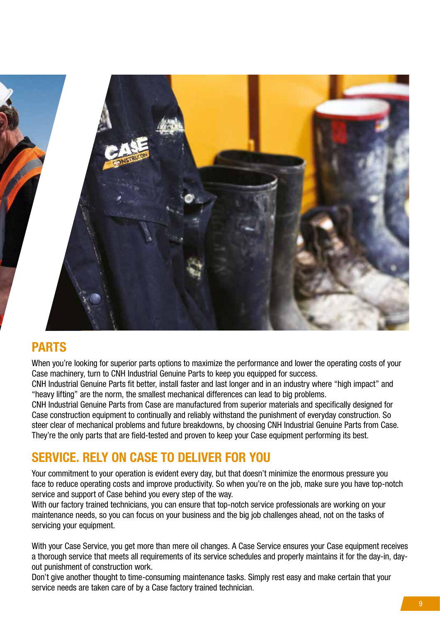

#### PARTS

When you're looking for superior parts options to maximize the performance and lower the operating costs of your Case machinery, turn to CNH Industrial Genuine Parts to keep you equipped for success.

CNH Industrial Genuine Parts fit better, install faster and last longer and in an industry where "high impact" and "heavy lifting" are the norm, the smallest mechanical differences can lead to big problems.

CNH Industrial Genuine Parts from Case are manufactured from superior materials and specifically designed for Case construction equipment to continually and reliably withstand the punishment of everyday construction. So steer clear of mechanical problems and future breakdowns, by choosing CNH Industrial Genuine Parts from Case. They're the only parts that are field-tested and proven to keep your Case equipment performing its best.

### SERVICE. RELY ON CASE TO DELIVER FOR YOU

Your commitment to your operation is evident every day, but that doesn't minimize the enormous pressure you face to reduce operating costs and improve productivity. So when you're on the job, make sure you have top-notch service and support of Case behind you every step of the way.

With our factory trained technicians, you can ensure that top-notch service professionals are working on your maintenance needs, so you can focus on your business and the big job challenges ahead, not on the tasks of servicing your equipment.

With your Case Service, you get more than mere oil changes. A Case Service ensures your Case equipment receives a thorough service that meets all requirements of its service schedules and properly maintains it for the day-in, dayout punishment of construction work.

Don't give another thought to time-consuming maintenance tasks. Simply rest easy and make certain that your service needs are taken care of by a Case factory trained technician.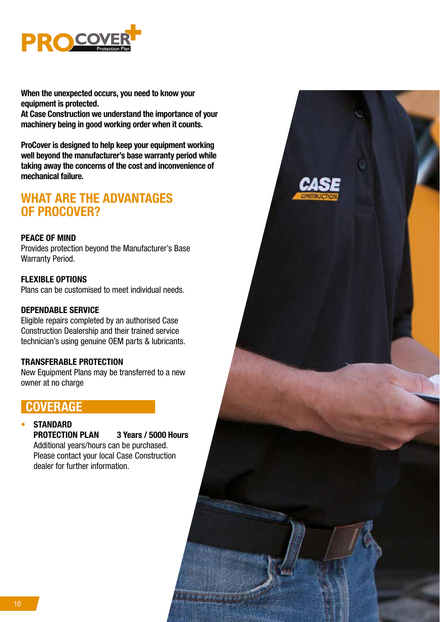

When the unexpected occurs, you need to know your equipment is protected.

At Case Construction we understand the importance of your machinery being in good working order when it counts.

ProCover is designed to help keep your equipment working well beyond the manufacturer's base warranty period while taking away the concerns of the cost and inconvenience of mechanical failure.

#### WHAT ARE THE ADVANTAGES OF PROCOVER?

#### PEACE OF MIND

Provides protection beyond the Manufacturer's Base Warranty Period.

#### FLEXIBLE OPTIONS

Plans can be customised to meet individual needs.

#### DEPENDABLE SERVICE

Eligible repairs completed by an authorised Case Construction Dealership and their trained service technician's using genuine OEM parts & lubricants.

#### TRANSFERABLE PROTECTION

New Equipment Plans may be transferred to a new owner at no charge

#### COVERAGE

#### **STANDARD**

PROTECTION PLAN 3 Years / 5000 Hours

Additional years/hours can be purchased. Please contact your local Case Construction dealer for further information.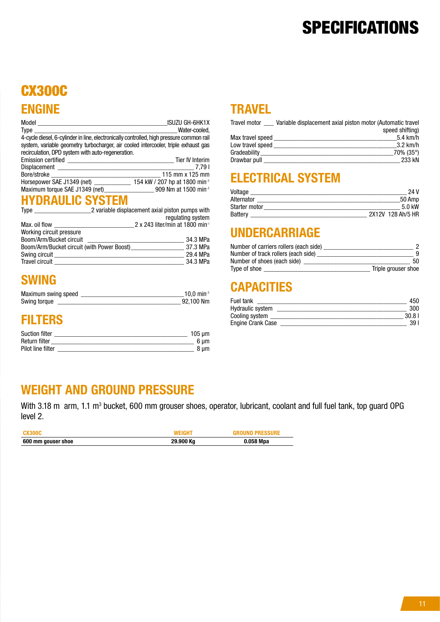# **SPECIFICATIONS**

# CX300C ENGINE

|                                                                                          | <b>ISUZU GH-6HK1X</b>                       |
|------------------------------------------------------------------------------------------|---------------------------------------------|
| Type                                                                                     | Water-cooled,                               |
| 4-cycle diesel, 6-cylinder in line, electronically controlled, high pressure common rail |                                             |
| system, variable geometry turbocharger, air cooled intercooler, triple exhaust gas       |                                             |
| recirculation, DPD system with auto-regeneration.                                        |                                             |
|                                                                                          | Tier IV Interim                             |
|                                                                                          |                                             |
|                                                                                          | 115 mm x 125 mm                             |
| Horsepower SAE J1349 (net) 154 kW / 207 hp at 1800 min <sup>-1</sup>                     |                                             |
| Maximum torque SAE J1349 (net)_________________________909 Nm at 1500 min <sup>-1</sup>  |                                             |
| <b>HYDRAULIC SYSTEM</b>                                                                  |                                             |
| Type Type 2 variable displacement axial piston pumps with                                |                                             |
|                                                                                          | regulating system                           |
| Max. oil flow _______                                                                    | 2 x 243 liter/min at 1800 min <sup>-1</sup> |
| Working circuit pressure                                                                 |                                             |

| 34.3 MPa |
|----------|
| 37.3 MPa |
| 29.4 MPa |
| 34.3 MPa |
|          |

#### SWING

| Maximum swing speed | $10.0 \text{ min}^{-1}$ |  |
|---------------------|-------------------------|--|
| Swing torque        | 92.100 Nm               |  |

### FILTERS

| <b>Suction filter</b> | 105 um |
|-----------------------|--------|
| Return filter         |        |
| Pilot line filter     |        |

#### **TRAVEL**

| Travel motor     | Variable displacement axial piston motor (Automatic travel |
|------------------|------------------------------------------------------------|
|                  | speed shifting)                                            |
| Max travel speed | $5.4$ km/h                                                 |
| Low travel speed | $3.2 \text{ km/h}$                                         |
| Gradeability     | $70\%$ (35°)                                               |
| Drawbar pull     | 233 kN                                                     |

## ELECTRICAL SYSTEM

| Voltage              | 24 V              |
|----------------------|-------------------|
| Alternator           | 50 Amp            |
| <b>Starter motor</b> | 5.0 kW            |
| Battery              | 2X12V 128 Ah/5 HR |

### UNDERCARRIAGE

| Number of carriers rollers (each side) |                     |
|----------------------------------------|---------------------|
| Number of track rollers (each side)    |                     |
| Number of shoes (each side)            | 50                  |
| Type of shoe                           | Triple grouser shoe |

## **CAPACITIES**

| Fuel tank         | 450   |
|-------------------|-------|
| Hydraulic system  | 300   |
| Cooling system    | 30.81 |
| Engine Crank Case | 39 I  |

#### WEIGHT AND GROUND PRESSURE

With 3.18 m arm, 1.1 m<sup>3</sup> bucket, 600 mm grouser shoes, operator, lubricant, coolant and full fuel tank, top guard OPG level 2.

| <b>CX300C</b>      | WEIGHT    | <b>GROUND PRESSURE</b> |
|--------------------|-----------|------------------------|
| 600 mm gouser shoe | 29.900 Kg | 0.058 Mpa              |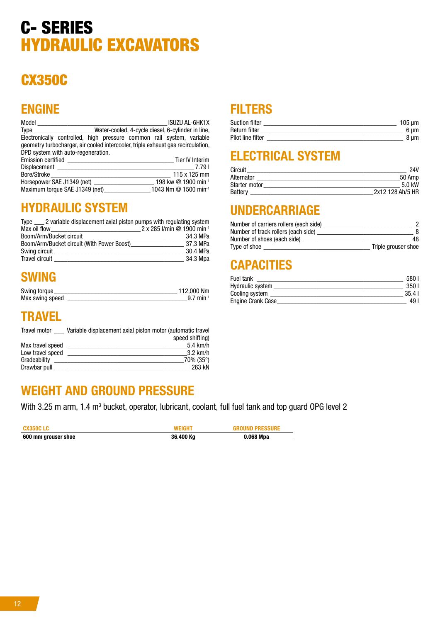# CX350C

## ENGINE

| <b>Model Model</b>                                                                                                                              |  | <b>ISUZU AL-6HK1X</b> |  |
|-------------------------------------------------------------------------------------------------------------------------------------------------|--|-----------------------|--|
| Type ______________________Water-cooled, 4-cycle diesel, 6-cylinder in line,                                                                    |  |                       |  |
| Electronically controlled, high pressure common rail system, variable                                                                           |  |                       |  |
| geometry turbocharger, air cooled intercooler, triple exhaust gas recirculation,                                                                |  |                       |  |
| DPD system with auto-regeneration.                                                                                                              |  |                       |  |
|                                                                                                                                                 |  |                       |  |
| Displacement <b>Displacement</b>                                                                                                                |  | 7.791                 |  |
| Bore/Stroke bores                                                                                                                               |  | $115 \times 125$ mm   |  |
|                                                                                                                                                 |  |                       |  |
| Horsepower SAE J1349 (net) 198 kw $@$ 1900 min <sup>-1</sup><br>Maximum torque SAE J1349 (net) ________________1043 Nm @ 1500 min <sup>-1</sup> |  |                       |  |

#### HYDRAULIC SYSTEM

| Type 2 variable displacement axial piston pumps with regulating system |                                        |
|------------------------------------------------------------------------|----------------------------------------|
| Max oil flow                                                           | 2 x 285 l/min @ 1900 min <sup>-1</sup> |
| Boom/Arm/Bucket circuit                                                | 34.3 MPa                               |
| Boom/Arm/Bucket circuit (With Power Boost)                             | 37.3 MPa                               |
| Swing circuit                                                          | 30.4 MPa                               |
| <b>Travel circuit</b>                                                  | 34.3 Mpa                               |

### SWING

| Swing torque    | 112,000 Nm             |
|-----------------|------------------------|
| Max swing speed | $9.7 \text{ min}^{-1}$ |

#### **TRAVEL**

| <b>Travel motor</b> | Variable displacement axial piston motor (automatic travel |
|---------------------|------------------------------------------------------------|
|                     | speed shifting)                                            |
| Max travel speed    | $5.4 \text{ km/h}$                                         |
| Low travel speed    | $3.2$ km/h                                                 |
| Gradeability        | $70\%$ (35°)                                               |
| Drawbar pull        | 263 kN                                                     |

#### WEIGHT AND GROUND PRESSURE

With 3.25 m arm, 1.4 m<sup>3</sup> bucket, operator, lubricant, coolant, full fuel tank and top guard OPG level 2

| CX350C LC           | <b>WEIGHT</b> | <b>GROUND PRESSURE</b> |
|---------------------|---------------|------------------------|
| 600 mm grouser shoe | 36.400 Kg     | 0.068 Mpa              |

## **FILTERS**

| <b>Suction filter</b> | $105 \text{ µm}$ |
|-----------------------|------------------|
| Return filter         | 6 um             |
| Pilot line filter     | 8 um             |

### ELECTRICAL SYSTEM

| Circuit        | 24V              |
|----------------|------------------|
| Alternator     | 50 Amp           |
| Starter motor  | 5.0 kW           |
| <b>Battery</b> | 2x12 128 Ah/5 HR |

### UNDERCARRIAGE

| Number of carriers rollers (each side) |                     |
|----------------------------------------|---------------------|
| Number of track rollers (each side)    |                     |
| Number of shoes (each side)            | 48                  |
| Type of shoe                           | Triple grouser shoe |

## **CAPACITIES**

| Fuel tank               | 580.   |
|-------------------------|--------|
| <b>Hydraulic system</b> | -350 L |
| Cooling system          | 35.41  |
| Engine Crank Case       | 49     |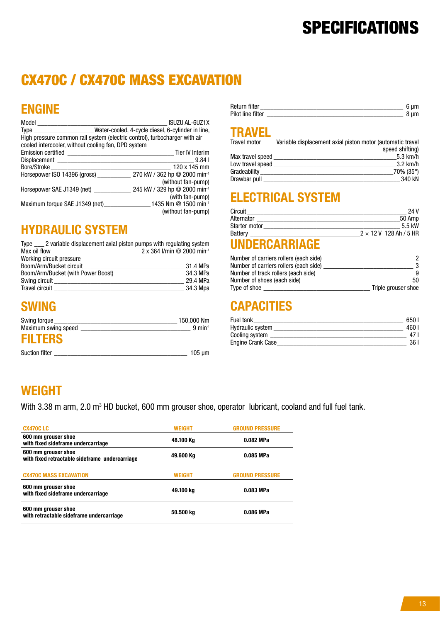# **SPECIFICATIONS**

# CX470C / CX470C MASS EXCAVATION

# ENGINE

| Model                                                                                                                                                                                                                         | <b>ISUZU AL-6UZ1X</b>                                                      |
|-------------------------------------------------------------------------------------------------------------------------------------------------------------------------------------------------------------------------------|----------------------------------------------------------------------------|
| Type                                                                                                                                                                                                                          | _____________________Water-cooled, 4-cycle diesel, 6-cylinder in line,     |
|                                                                                                                                                                                                                               | High pressure common rail system (electric control), turbocharger with air |
| cooled intercooler, without cooling fan, DPD system                                                                                                                                                                           |                                                                            |
| <b>Emission certified</b>                                                                                                                                                                                                     | <b>Tier IV Interim</b>                                                     |
| Displacement and the contract of the contract of the contract of the contract of the contract of the contract of the contract of the contract of the contract of the contract of the contract of the contract of the contract | 9.84 I                                                                     |
| Bore/Stroke                                                                                                                                                                                                                   | 120 x 145 mm                                                               |
| Horsepower ISO 14396 (gross)                                                                                                                                                                                                  | 270 kW / 362 hp @ 2000 min-1                                               |
|                                                                                                                                                                                                                               | (without fan-pump)                                                         |
| Horsepower SAE J1349 (net)                                                                                                                                                                                                    | 245 kW / 329 hp @ 2000 min-1                                               |
|                                                                                                                                                                                                                               | (with fan-pump)                                                            |
| Maximum torque SAE J1349 (net)                                                                                                                                                                                                | 1435 Nm @ 1500 min <sup>-1</sup>                                           |
|                                                                                                                                                                                                                               | (without fan-pump)                                                         |

#### HYDRAULIC SYSTEM Type \_\_\_ 2 variable displacement axial piston pumps with regulating system

| 2 x 364 l/min @ 2000 min <sup>-1</sup><br>Max oil flow |          |
|--------------------------------------------------------|----------|
| Working circuit pressure                               |          |
| Boom/Arm/Bucket circuit                                | 31.4 MPa |
| Boom/Arm/Bucket (with Power Boost)_                    | 34.3 MPa |
| Swing circuit                                          | 29.4 MPa |
| <b>Travel circuit</b>                                  | 34.3 Mpa |

### SWING

| Swing torque        | 150,000 Nm                   |
|---------------------|------------------------------|
| Maximum swing speed | $9 \text{ min}$ <sup>1</sup> |
| <b>FILTERS</b>      |                              |

| <b>Suction filter</b> |  |  |
|-----------------------|--|--|
|-----------------------|--|--|

| Return filter     |  |
|-------------------|--|
| Pilot line filter |  |

#### **TRAVEL**

| <b>Travel motor</b> | Variable displacement axial piston motor (automatic travel |
|---------------------|------------------------------------------------------------|
|                     | speed shifting)                                            |
| Max travel speed    | $5.3$ km/h                                                 |
| Low travel speed    | $3.2$ km/h                                                 |
| Gradeability        | $70\%$ (35°)                                               |
| Drawbar pull        | 340 KN                                                     |

#### ELECTRICAL SYSTEM

| Circuit              | 24 V                          |
|----------------------|-------------------------------|
| Alternator           | 50 Amp                        |
| <b>Starter motor</b> | $5.5$ kW                      |
| <b>Battery</b>       | $2 \times 12$ V 128 Ah / 5 HR |

## UNDERCARRIAGE

| Number of carriers rollers (each side) |                     |
|----------------------------------------|---------------------|
| Number of carriers rollers (each side) |                     |
| Number of track rollers (each side)    | q                   |
| Number of shoes (each side)            | 50                  |
| Type of shoe                           | Triple grouser shoe |

# **CAPACITIES**

| Fuel tank         | 650 I |
|-------------------|-------|
| Hydraulic system  | 460 I |
| Cooling system    |       |
| Engine Crank Case | 36 I  |

### WEIGHT

With 3.38 m arm, 2.0 m<sup>3</sup> HD bucket, 600 mm grouser shoe, operator lubricant, cooland and full fuel tank.

| <b>CX470C LC</b>                                                      | <b>WEIGHT</b> | <b>GROUND PRESSURE</b> |
|-----------------------------------------------------------------------|---------------|------------------------|
| 600 mm grouser shoe<br>with fixed sideframe undercarriage             | 48.100 Kg     | 0.082 MPa              |
| 600 mm grouser shoe<br>with fixed retractable sideframe undercarriage | 49.600 Kg     | 0.085 MPa              |
| <b>CX470C MASS EXCAVATION</b>                                         | <b>WEIGHT</b> | <b>GROUND PRESSURE</b> |
| 600 mm grouser shoe<br>with fixed sideframe undercarriage             | 49.100 kg     | 0.083 MPa              |
| 600 mm grouser shoe<br>with retractable sideframe undercarriage       | 50.500 kg     | 0.086 MPa              |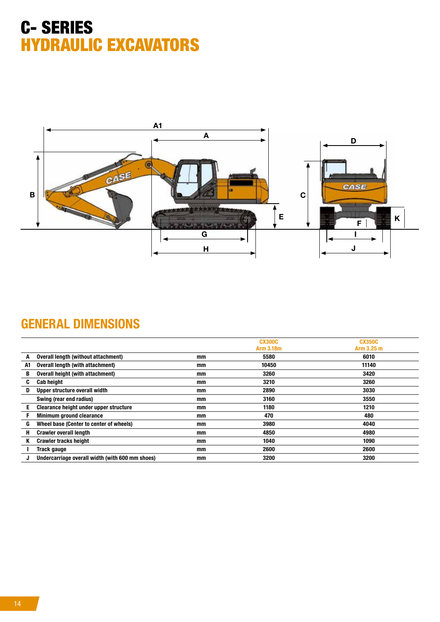

## GENERAL DIMENSIONS

|    |                                                 |    | <b>CX300C</b>    | <b>CX350C</b> |
|----|-------------------------------------------------|----|------------------|---------------|
|    |                                                 |    | <b>Arm 3.18m</b> | Arm 3.25 m    |
| A  | Overall length (without attachment)             | mm | 5580             | 6010          |
| A1 | Overall length (with attachment)                | mm | 10450            | 11140         |
| В  | Overall height (with attachment)                | mm | 3260             | 3420          |
| C  | <b>Cab height</b>                               | mm | 3210             | 3260          |
| D  | Upper structure overall width                   | mm | 2890             | 3030          |
|    | Swing (rear end radius)                         | mm | 3160             | 3550          |
| E  | Clearance height under upper structure          | mm | 1180             | 1210          |
|    | <b>Minimum ground clearance</b>                 | mm | 470              | 480           |
| G  | Wheel base (Center to center of wheels)         | mm | 3980             | 4040          |
| н  | <b>Crawler overall length</b>                   | mm | 4850             | 4980          |
|    | <b>Crawler tracks height</b>                    | mm | 1040             | 1090          |
|    | Track gauge                                     | mm | 2600             | 2600          |
|    | Undercarriage overall width (with 600 mm shoes) | mm | 3200             | 3200          |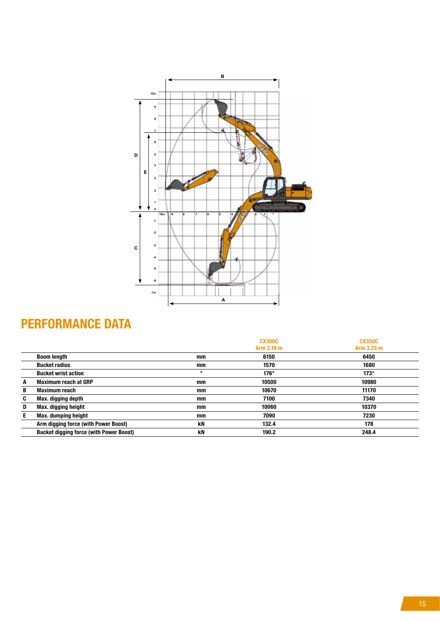

# PERFORMANCE DATA

|    |                                                |         | <b>CX300C</b><br>Arm 3.18 m | <b>CX350C</b><br>Arm 3.25 m |
|----|------------------------------------------------|---------|-----------------------------|-----------------------------|
|    | <b>Boom length</b>                             | mm      | 6150                        | 6450                        |
|    | <b>Bucket radius</b>                           | mm      | 1570                        | 1680                        |
|    | <b>Bucket wrist action</b>                     | $\circ$ | $176^\circ$                 | $173^\circ$                 |
| A  | <b>Maximum reach at GRP</b>                    | mm      | 10500                       | 10980                       |
| B  | <b>Maximum reach</b>                           | mm      | 10670                       | 11170                       |
| C  | Max. digging depth                             | mm      | 7100                        | 7340                        |
| D  | Max. digging height                            | mm      | 10060                       | 10370                       |
| E. | <b>Max. dumping height</b>                     | mm      | 7090                        | 7230                        |
|    | Arm digging force (with Power Boost)           | kN      | 132.4                       | 178                         |
|    | <b>Bucket digging force (with Power Boost)</b> | kN      | 190.2                       | 248.4                       |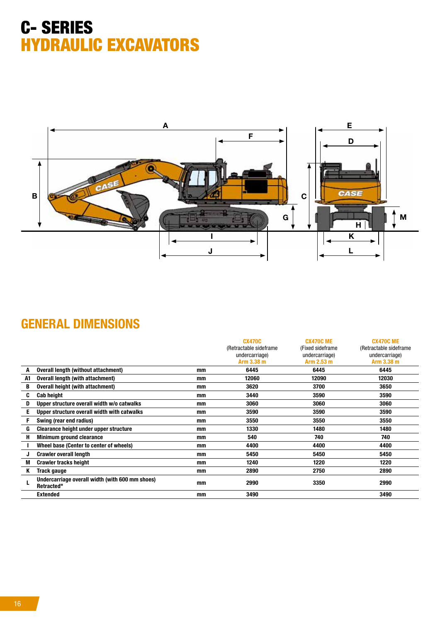

## GENERAL DIMENSIONS

|    |                                                               |    | <b>CX470C</b>           | <b>CX470C ME</b> | <b>CX470C ME</b>        |
|----|---------------------------------------------------------------|----|-------------------------|------------------|-------------------------|
|    |                                                               |    | (Retractable sideframe) | (Fixed sideframe | (Retractable sideframe) |
|    |                                                               |    | undercarriage)          | undercarriage)   | undercarriage)          |
|    |                                                               |    | Arm 3.38 m              | Arm 2.53 m       | Arm 3.38 m              |
| A  | Overall length (without attachment)                           | mm | 6445                    | 6445             | 6445                    |
| A1 | Overall length (with attachment)                              | mm | 12060                   | 12090            | 12030                   |
| B  | <b>Overall height (with attachment)</b>                       | mm | 3620                    | 3700             | 3650                    |
| C  | <b>Cab height</b>                                             | mm | 3440                    | 3590             | 3590                    |
| D  | Upper structure overall width w/o catwalks                    | mm | 3060                    | 3060             | 3060                    |
| E  | Upper structure overall width with catwalks                   | mm | 3590                    | 3590             | 3590                    |
| F  | Swing (rear end radius)                                       | mm | 3550                    | 3550             | 3550                    |
| G  | Clearance height under upper structure                        | mm | 1330                    | 1480             | 1480                    |
| Н  | Minimum ground clearance                                      | mm | 540                     | 740              | 740                     |
|    | Wheel base (Center to center of wheels)                       | mm | 4400                    | 4400             | 4400                    |
| J  | <b>Crawler overall length</b>                                 | mm | 5450                    | 5450             | 5450                    |
| M  | <b>Crawler tracks height</b>                                  | mm | 1240                    | 1220             | 1220                    |
| Κ  | Track gauge                                                   | mm | 2890                    | 2750             | 2890                    |
|    | Undercarriage overall width (with 600 mm shoes)<br>Retracted" | mm | 2990                    | 3350             | 2990                    |
|    | <b>Extended</b>                                               | mm | 3490                    |                  | 3490                    |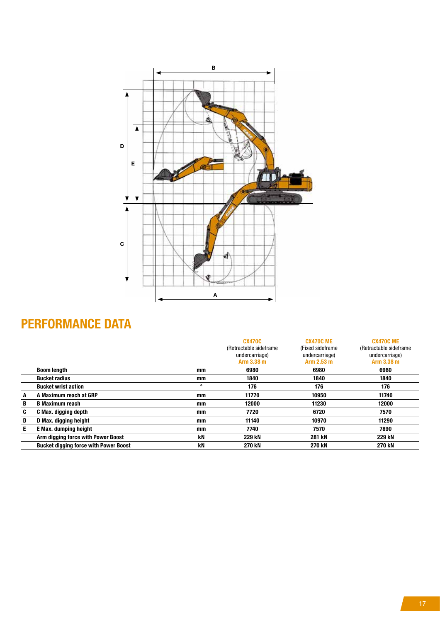

# PERFORMANCE DATA

|    |                                              |         | <b>CX470C</b><br>(Retractable sideframe)<br>undercarriage)<br>Arm 3.38 m | <b>CX470C ME</b><br>(Fixed sideframe)<br>undercarriage)<br>Arm 2.53 m | <b>CX470C ME</b><br>(Retractable sideframe)<br>undercarriage)<br>Arm 3.38 m |
|----|----------------------------------------------|---------|--------------------------------------------------------------------------|-----------------------------------------------------------------------|-----------------------------------------------------------------------------|
|    | <b>Boom length</b>                           | mm      | 6980                                                                     | 6980                                                                  | 6980                                                                        |
|    | <b>Bucket radius</b>                         | mm      | 1840                                                                     | 1840                                                                  | 1840                                                                        |
|    | <b>Bucket wrist action</b>                   | $\circ$ | 176                                                                      | 176                                                                   | 176                                                                         |
| A  | A Maximum reach at GRP                       | mm      | 11770                                                                    | 10950                                                                 | 11740                                                                       |
| B  | <b>B</b> Maximum reach                       | mm      | 12000                                                                    | 11230                                                                 | 12000                                                                       |
| C  | C Max. digging depth                         | mm      | 7720                                                                     | 6720                                                                  | 7570                                                                        |
| D  | D Max. digging height                        | mm      | 11140                                                                    | 10970                                                                 | 11290                                                                       |
| E. | E Max. dumping height                        | mm      | 7740                                                                     | 7570                                                                  | 7890                                                                        |
|    | Arm digging force with Power Boost           | kN      | 229 kN                                                                   | 281 kN                                                                | 229 kN                                                                      |
|    | <b>Bucket digging force with Power Boost</b> | kN      | <b>270 kN</b>                                                            | <b>270 kN</b>                                                         | <b>270 kN</b>                                                               |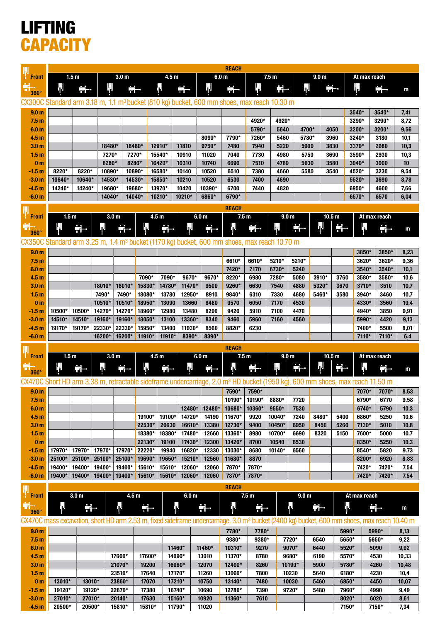# LIFTING **CAPACITY**

|                                                                                                                                                         | 1.5 <sub>m</sub><br>3.0 <sub>m</sub><br>4.5 <sub>m</sub> |                  |                  |                  |                  |                  | <b>REACH</b><br>6.0 <sub>m</sub><br>7.5 <sub>m</sub> |                  |                  |                  |                  | 9.0 <sub>m</sub><br>At max reach |                   |                   |                |                |                |
|---------------------------------------------------------------------------------------------------------------------------------------------------------|----------------------------------------------------------|------------------|------------------|------------------|------------------|------------------|------------------------------------------------------|------------------|------------------|------------------|------------------|----------------------------------|-------------------|-------------------|----------------|----------------|----------------|
| <b>Front</b>                                                                                                                                            |                                                          |                  |                  |                  |                  |                  |                                                      |                  |                  |                  |                  |                                  |                   |                   |                |                |                |
| 360°                                                                                                                                                    |                                                          | 긂                | Ш                |                  |                  | ıΨ               | 긢                                                    | Щ                | Ħ.               | Ш                | Ħ.               | ₩                                |                   |                   | ₩              |                | m              |
| CX300C Standard arm 3.18 m, 1.1 m <sup>3</sup> bucket (810 kg) bucket, 600 mm shoes, max reach 10.30 m                                                  |                                                          |                  |                  |                  |                  |                  |                                                      |                  |                  |                  |                  |                                  |                   |                   |                |                |                |
| 9.0 <sub>m</sub>                                                                                                                                        |                                                          |                  |                  |                  |                  |                  |                                                      |                  |                  |                  |                  |                                  |                   |                   | 3540*          | 3540*          | 7,41           |
| 7.5 <sub>m</sub>                                                                                                                                        |                                                          |                  |                  |                  |                  |                  |                                                      |                  |                  | 4920*            | 4920*            |                                  |                   |                   | 3290*          | 3290*          | 8,72           |
| 6.0 <sub>m</sub><br>4.5 <sub>m</sub>                                                                                                                    |                                                          |                  |                  |                  |                  |                  |                                                      | 8090*            | 7790*            | 5790*<br>7260*   | 5640<br>5460     | 4700*<br>5780*                   |                   | 4050<br>3960      | 3200*<br>3240* | 3200*<br>3180  | 9,56<br>10,1   |
| 3.0 <sub>m</sub>                                                                                                                                        |                                                          |                  | 18480*           |                  | 18480*           | 12910*           | 11810                                                | 9750*            | 7480             | 7940             | 5220             | 5900                             |                   | 3830              | 3370*          | 2980           | 10,3           |
| 1.5 <sub>m</sub>                                                                                                                                        |                                                          |                  | 7270*            |                  | 7270*            | 15540*           | 10910                                                | 11020            | 7040             | 7730             | 4980             | 5750                             |                   | 3690              | 3590*          | 2930           | 10,3           |
| 0 <sub>m</sub>                                                                                                                                          |                                                          |                  | 8280*            |                  | 8280*            | 16420*           | 10310                                                | 10740            | 6690             | 7510             | 4780             | 5630                             |                   | 3580              | 3940*          | 3000           | 10             |
| $-1.5m$                                                                                                                                                 | 8220*                                                    | 8220*            | 10890*           |                  | 10890*           | 16580*           | 10140                                                | 10520            | 6510             | 7380             | 4660             | 5580                             |                   | 3540              | 4520*          | 3230           | 9,54           |
| $-3.0m$<br>$-4.5m$                                                                                                                                      | 10640*<br>14240*                                         | 10640*<br>14240* | 14530*<br>19680* |                  | 14530*<br>19680* | 15850*<br>13970* | 10210<br>10420                                       | 10520<br>10390*  | 6530<br>6700     | 7400<br>7440     | 4690<br>4820     |                                  |                   |                   | 5520*<br>6950* | 3690<br>4600   | 8,78<br>7,66   |
| $-6.0 m$                                                                                                                                                |                                                          |                  | 14040*           |                  | 14040*           | 10210*           | 10210*                                               | 6860*            | 6790*            |                  |                  |                                  |                   |                   | 6570*          | 6570           | 6,04           |
|                                                                                                                                                         |                                                          |                  |                  |                  |                  |                  |                                                      |                  | <b>REACH</b>     |                  |                  |                                  |                   |                   |                |                |                |
| <b>Front</b>                                                                                                                                            | 1.5 <sub>m</sub>                                         |                  |                  | 3.0 <sub>m</sub> |                  | 4.5 <sub>m</sub> |                                                      | 6.0 <sub>m</sub> |                  | 7.5 <sub>m</sub> | 9.0 <sub>m</sub> |                                  | 10.5 <sub>m</sub> |                   |                | At max reach   |                |
|                                                                                                                                                         | Ŋμ                                                       | 붂                | ╚╻╜              |                  |                  |                  |                                                      | Ħ                | Л                |                  |                  | Ħ                                | Щ                 | 급                 | ₩              | 긃              | m              |
| $360^\circ$                                                                                                                                             |                                                          |                  |                  |                  |                  |                  |                                                      |                  |                  |                  |                  |                                  |                   |                   |                |                |                |
| CX350C Standard arm 3.25 m, 1.4 m <sup>3</sup> bucket (1170 kg) bucket, 600 mm shoes, max reach 10.70 m                                                 |                                                          |                  |                  |                  |                  |                  |                                                      |                  |                  |                  |                  |                                  |                   |                   |                |                |                |
| 9.0 <sub>m</sub><br>7.5 <sub>m</sub>                                                                                                                    |                                                          |                  |                  |                  |                  |                  |                                                      |                  | 6610*            | 6610*            | 5210*            | 5210*                            |                   |                   | 3850*<br>3620* | 3850*<br>3620* | 8,23<br>9,36   |
| 6.0 <sub>m</sub>                                                                                                                                        |                                                          |                  |                  |                  |                  |                  |                                                      |                  | 7420*            | 7170             | 6730*            | 5240                             |                   |                   | 3540*          | 3540*          | 10,1           |
| 4.5 <sub>m</sub>                                                                                                                                        |                                                          |                  |                  |                  | 7090*            | 7090*            | 9670*                                                | 9670*            | 8220*            | 6980             | 7280*            | 5080                             | 3910*             | 3760              | 3580*          | 3580*          | 10,6           |
| 3.0 <sub>m</sub>                                                                                                                                        |                                                          |                  | 18010*           | 18010*           | 15830*           | 14780*           | 11470*                                               | 9500             | 9260*            | 6630             | 7540             | 4880                             | 5320*             | 3670              | 3710*          | 3510           | 10,7           |
| 1.5 <sub>m</sub>                                                                                                                                        |                                                          |                  | 7490*            | 7490*            | 18080*           | 13780            | 12950*                                               | 8910             | 9840*            | 6310             | 7330             | 4680                             | 5460*             | 3580              | 3940*          | 3460           | 10,7           |
| 0 <sub>m</sub>                                                                                                                                          |                                                          |                  | 10510*           | 10510*           | 18950*           | 13090            | 13660                                                | 8480             | 9570             | 6050             | 7170             | 4530                             |                   |                   | 4330*          | 3560           | 10,4           |
| -1.5 m<br>-3.0 m                                                                                                                                        | 10500*<br>14510*                                         | 10500*<br>14510* | 14270*<br>19160* | 14270*<br>19160* | 18960*<br>18050* | 12980<br>13100   | 13480<br>13360*                                      | 8290<br>8340     | 9420<br>9460     | 5910<br>5960     | 7100<br>7160     | 4470<br>4560                     |                   |                   | 4940*<br>5990* | 3850<br>4420   | 9,91<br>9,13   |
| $-4.5m$                                                                                                                                                 | 19170*                                                   | 19170*           | 22330*           | 22330*           | 15950*           | 13400            | 11930*                                               | 8560             | 8820*            | 6230             |                  |                                  |                   |                   | 7400*          | 5500           | 8,01           |
| $-6.0m$                                                                                                                                                 |                                                          |                  | 16200*           | 16200*           | 11910*           | 11910*           | 8390*                                                | 8390*            |                  |                  |                  |                                  |                   |                   | 7110*          | 7110*          | 6,4            |
|                                                                                                                                                         |                                                          |                  |                  |                  |                  |                  |                                                      |                  |                  |                  |                  |                                  |                   |                   |                |                |                |
|                                                                                                                                                         |                                                          |                  |                  |                  |                  |                  |                                                      |                  | <b>REACH</b>     |                  |                  |                                  |                   |                   |                |                |                |
| <b>Front</b>                                                                                                                                            | 1.5 <sub>m</sub>                                         |                  |                  | 3.0 <sub>m</sub> |                  | 4.5 <sub>m</sub> |                                                      | 6.0 <sub>m</sub> |                  | 7.5 <sub>m</sub> |                  | 9.0 <sub>m</sub>                 |                   | 10.5 <sub>m</sub> |                | At max reach   |                |
|                                                                                                                                                         | ŀΙ                                                       | 랆                |                  |                  |                  |                  |                                                      | Ħ                | ₩                | 군                |                  | 글                                | ١J                | 금                 | ıIJ            |                | m              |
| $360^\circ$                                                                                                                                             |                                                          |                  |                  |                  |                  |                  |                                                      |                  |                  |                  |                  |                                  |                   |                   |                |                |                |
| CX470C Short HD arm 3.38 m, retractable sideframe undercarriage, 2.0 m <sup>3</sup> HD bucket (1950 kg), 600 mm shoes, max reach 11.50 m                |                                                          |                  |                  |                  |                  |                  |                                                      |                  | 7590*            | 7590*            |                  |                                  |                   |                   | 7070*          | 7070*          | 8.53           |
| 9.0 <sub>m</sub><br>7.5 <sub>m</sub>                                                                                                                    |                                                          |                  |                  |                  |                  |                  |                                                      |                  | 10190*           | 10190*           | 8880*            | 7720                             |                   |                   | 6790*          | 6770           | 9.58           |
| 6.0 <sub>m</sub>                                                                                                                                        |                                                          |                  |                  |                  |                  |                  | 12480*                                               | 12480*           | 10680*           | 10360*           | 9550*            | 7530                             |                   |                   | 6740*          | 5790           | 10.3           |
| 4.5 <sub>m</sub>                                                                                                                                        |                                                          |                  |                  |                  | 19100*           | 19100*           | 14720*                                               | 14190            | 11670*           | 9920             | 10040*           | 7240                             | 8480*             | 5400              | 6860*          | 5250           | 10.6           |
| 3.0 <sub>m</sub>                                                                                                                                        |                                                          |                  |                  |                  | 22530*           | 20630            | 16610*                                               | 13380            | 12730*           | 9400             | 10450*           | 6950                             | 8450              | 5260              | 7130*          | 5010           | 10.8           |
| 1.5 <sub>m</sub><br>0 <sub>m</sub>                                                                                                                      |                                                          |                  |                  |                  | 18380*<br>22130* | 18380*<br>19100  | 17480*<br>17430*                                     | 12660<br>12300   | 13360*<br>13420* | 8980<br>8700     | 10700*<br>10540  | 6690<br>6530                     | 8320              | 5150              | 7600*<br>8350* | 5000<br>5250   | 10.7<br>10.3   |
| $-1.5 m$                                                                                                                                                | 17970*                                                   | 17970*           | 17970*           | 17970*           | 22220*           | 19940            | 16820*                                               | 12330            | 13030*           | 8680             | 10140*           | 6560                             |                   |                   | 8540*          | 5820           | 9.73           |
| $-3.0 m$                                                                                                                                                | 25100*                                                   | 25100*           | 25100*           | 25100*           | 19690*           | 19650*           | 15210*                                               | 12560            | 11680*           | 8870             |                  |                                  |                   |                   | 8200*          | 6920           | 8.83           |
| $-4.5 m$                                                                                                                                                | 19400*                                                   | 19400*           | 19400*           | 19400*           | 15610*           | 15610*           | 12060*                                               | 12060            | 7870*            | 7870*            |                  |                                  |                   |                   | 7420*          | 7420*          | 7.54           |
| $-6.0 m$                                                                                                                                                | 19400*                                                   | 19400*           | $19400*$         | 19400*           | 15610*           | 15610*           | 12060*                                               | 12060            | 7870*            | 7870*            |                  |                                  |                   |                   | 7420*          | 7420*          | 7.54           |
|                                                                                                                                                         |                                                          |                  |                  |                  |                  |                  |                                                      |                  | <b>REACH</b>     |                  |                  |                                  |                   |                   |                |                |                |
| <b>Front</b>                                                                                                                                            |                                                          | 3.0 <sub>m</sub> |                  |                  | 4.5 <sub>m</sub> |                  | 6.0 <sub>m</sub>                                     |                  |                  | 7.5 <sub>m</sub> |                  | 9.0 <sub>m</sub>                 |                   |                   | At max reach   |                |                |
| $360^\circ$                                                                                                                                             | ₩                                                        | 금                |                  | Ψ                | ÷.               | ╟                |                                                      | Ħ٠               | ₩                | e.               |                  | ₩                                | ╇╅╌               | ┞                 |                | ÷÷             | m              |
| CX470C mass excavation, short HD arm 2.53 m, fixed sideframe undercarriage, 3.0 m <sup>3</sup> bucket (2400 kg) bucket, 600 mm shoes, max reach 10.40 m |                                                          |                  |                  |                  |                  |                  |                                                      |                  |                  |                  |                  |                                  |                   |                   |                |                |                |
| 9.0 <sub>m</sub>                                                                                                                                        |                                                          |                  |                  |                  |                  |                  |                                                      |                  | 7780*            | 7780*            |                  |                                  |                   | 5990*             |                | 5990*          | 8,13           |
| 7.5 <sub>m</sub>                                                                                                                                        |                                                          |                  |                  |                  |                  |                  |                                                      |                  | 9380*            | 9380*            |                  | 7720*                            | 6540              | 5650*             |                | 5650*          | 9,22           |
| 6.0 <sub>m</sub>                                                                                                                                        |                                                          |                  |                  |                  |                  | 11460*           |                                                      | 11460*           | 10310*           | 9270             |                  | 9070*                            | 6440              | 5520*             |                | 5090           | 9,92           |
| 4.5 <sub>m</sub><br>3.0 <sub>m</sub>                                                                                                                    |                                                          |                  |                  | 17600*<br>21070* | 17600*<br>19200  | 14090*<br>16060* |                                                      | 13010<br>12070   | 11370*<br>12400* | 8780<br>8260     |                  | 9680*<br>10190*                  | 6190<br>5900      | 5570*<br>5780*    |                | 4530<br>4260   | 10,33<br>10,48 |
| 1.5 <sub>m</sub>                                                                                                                                        |                                                          |                  |                  | 23510*           | 17640            | 17170*           |                                                      | 11260            | 13060*           | 7800             |                  | 10230                            | 5640              | 6180*             |                | 4230           | 10,4           |
| 0 <sub>m</sub>                                                                                                                                          | 13010*                                                   | 13010*           |                  | 23860*           | 17070            | 17210*           |                                                      | 10750            | 13140*           | 7480             |                  | 10030                            | 5460              | 6850*             |                | 4450           | 10,07          |
| $-1.5 m$                                                                                                                                                | 19120*                                                   | 19120*           |                  | 22670*           | 17380            | 16740*           |                                                      | 10690            | 12780*           | 7390             |                  | 9720*                            | 5480              | 7960*             |                | 4990           | 9,49           |
| $-3.0 m$<br>$-4.5 m$                                                                                                                                    | 27010*<br>20500*                                         | 27010*<br>20500* |                  | 20140*<br>15810* | 17630<br>15810*  | 15160*<br>11790* |                                                      | 10920<br>11020   | 11360*           | 7610             |                  |                                  |                   | 8020*<br>7150*    |                | 6020<br>7150*  | 8,61<br>7,34   |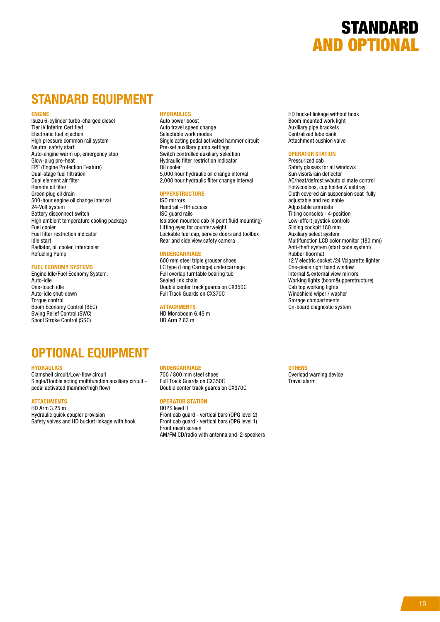

#### STANDARD EQUIPMENT

#### ENGINE

Isuzu 6-cylinder turbo-charged diesel Tier IV Interim Certified Electronic fuel injection High pressure common rail system Neutral safety start Auto-engine warm up, emergency stop Glow-plug pre-heat EPF (Engine Protection Feature) Dual-stage fuel filtration Dual element air filter Remote oil filter Green plug oil drain 500-hour engine oil change interval 24-Volt system Battery disconnect switch High ambient temperature cooling package Fuel cooler Fuel filter restriction indicator Idle start Radiator, oil cooler, intercooler Refueling Pump

#### FUEL ECONOMY SYSTEMS

Engine Idle/Fuel Economy System: Auto-idle One-touch idle Auto-idle shut-down Torque control Boom Economy Control (BEC) Swing Relief Control (SWC) Spool Stroke Control (SSC)

#### **HYDRAULICS**

Auto power boost Auto travel speed change Selectable work modes Single acting pedal activated hammer circuit Pre-set auxiliary pump settings Switch controlled auxiliary selection Hydraulic filter restriction indicator Oil cooler 5,000 hour hydraulic oil change interval 2,000 hour hydraulic filter change interval

#### UPPERSTRUCTURE

ISO mirrors Handrail – RH access ISO guard rails Isolation mounted cab (4 point fluid mounting) Lifting eyes for counterweight Lockable fuel cap, service doors and toolbox Rear and side view safety camera

#### UNDERCARRIAGE

600 mm steel triple grouser shoes LC type (Long Carriage) undercarriage Full overlap turntable bearing tub Sealed link chain Double center track guards on CX350C Full Track Guards on CX370C

#### **ATTACHMENTS**

HD Monoboom 6.45 m HD Arm 2.63 m

#### HD bucket linkage without hook Boom mounted work light Auxiliary pipe brackets Centralized lube bank Attachment cushion valve

#### OPERATOR STATION

Pressurized cab Safety glasses for all windows Sun visor&rain deflector AC/heat/defrost w/auto climate control Hot&coolbox, cup holder & ashtray Cloth covered air-suspension seat fully adjustable and reclinable Adjustable armrests Tilting consoles - 4-position Low-effort joystick controls Sliding cockpit 180 mm Auxiliary select system Multifunction LCD color monitor (180 mm) Anti-theft system (start code system) Rubber floormat 12 V electric socket /24 Vcigarette lighter One-piece right hand window Internal & external view mirrors Working lights (boom&upperstructure) Cab top working lights Windshield wiper / washer Storage compartments On-board diagnostic system

#### OPTIONAL EQUIPMENT

#### **HYDRAULICS**

Clamshell circuit/Low-flow circuit Single/Double acting multifunction auxiliary circuit pedal activated (hammer/high flow)

#### **ATTACHMENTS**

HD Arm 3.25 m Hydraulic quick coupler provision Safety valves and HD bucket linkage with hook

#### UNDERCARRIAGE

700 / 800 mm steel shoes Full Track Guards on CX350C Double center track guards on CX370C

#### OPERATOR STATION

ROPS level II Front cab guard - vertical bars (OPG level 2) Front cab guard - vertical bars (OPG level 1) Front mesh screen AM/FM CD/radio with antenna and 2-speakers

#### **OTHERS**

Overload warning device Travel alarm